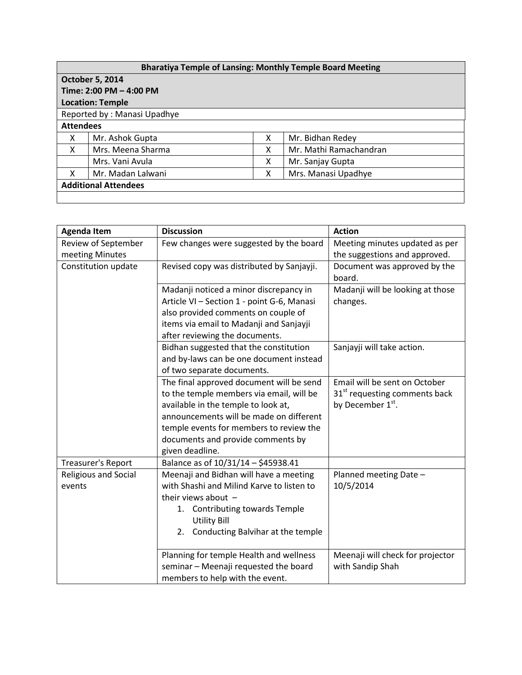| <b>Bharatiya Temple of Lansing: Monthly Temple Board Meeting</b> |                   |   |                        |  |  |  |  |
|------------------------------------------------------------------|-------------------|---|------------------------|--|--|--|--|
| <b>October 5, 2014</b>                                           |                   |   |                        |  |  |  |  |
| Time: 2:00 PM - 4:00 PM                                          |                   |   |                        |  |  |  |  |
| <b>Location: Temple</b>                                          |                   |   |                        |  |  |  |  |
| Reported by: Manasi Upadhye                                      |                   |   |                        |  |  |  |  |
| <b>Attendees</b>                                                 |                   |   |                        |  |  |  |  |
| X                                                                | Mr. Ashok Gupta   | x | Mr. Bidhan Redey       |  |  |  |  |
| X                                                                | Mrs. Meena Sharma | x | Mr. Mathi Ramachandran |  |  |  |  |
|                                                                  | Mrs. Vani Avula   | x | Mr. Sanjay Gupta       |  |  |  |  |
| x                                                                | Mr. Madan Lalwani | x | Mrs. Manasi Upadhye    |  |  |  |  |
| <b>Additional Attendees</b>                                      |                   |   |                        |  |  |  |  |
|                                                                  |                   |   |                        |  |  |  |  |

| <b>Agenda Item</b>   | <b>Discussion</b>                          | <b>Action</b>                             |
|----------------------|--------------------------------------------|-------------------------------------------|
| Review of September  | Few changes were suggested by the board    | Meeting minutes updated as per            |
| meeting Minutes      |                                            | the suggestions and approved.             |
| Constitution update  | Revised copy was distributed by Sanjayji.  | Document was approved by the              |
|                      |                                            | board.                                    |
|                      | Madanji noticed a minor discrepancy in     | Madanji will be looking at those          |
|                      | Article VI - Section 1 - point G-6, Manasi | changes.                                  |
|                      | also provided comments on couple of        |                                           |
|                      | items via email to Madanji and Sanjayji    |                                           |
|                      | after reviewing the documents.             |                                           |
|                      | Bidhan suggested that the constitution     | Sanjayji will take action.                |
|                      | and by-laws can be one document instead    |                                           |
|                      | of two separate documents.                 |                                           |
|                      | The final approved document will be send   | Email will be sent on October             |
|                      | to the temple members via email, will be   | 31 <sup>st</sup> requesting comments back |
|                      | available in the temple to look at,        | by December 1 <sup>st</sup> .             |
|                      | announcements will be made on different    |                                           |
|                      | temple events for members to review the    |                                           |
|                      | documents and provide comments by          |                                           |
|                      | given deadline.                            |                                           |
| Treasurer's Report   | Balance as of 10/31/14 - \$45938.41        |                                           |
| Religious and Social | Meenaji and Bidhan will have a meeting     | Planned meeting Date -                    |
| events               | with Shashi and Milind Karve to listen to  | 10/5/2014                                 |
|                      | their views about $-$                      |                                           |
|                      | <b>Contributing towards Temple</b><br>1.   |                                           |
|                      | <b>Utility Bill</b>                        |                                           |
|                      | Conducting Balvihar at the temple<br>2.    |                                           |
|                      | Planning for temple Health and wellness    | Meenaji will check for projector          |
|                      | seminar - Meenaji requested the board      | with Sandip Shah                          |
|                      | members to help with the event.            |                                           |